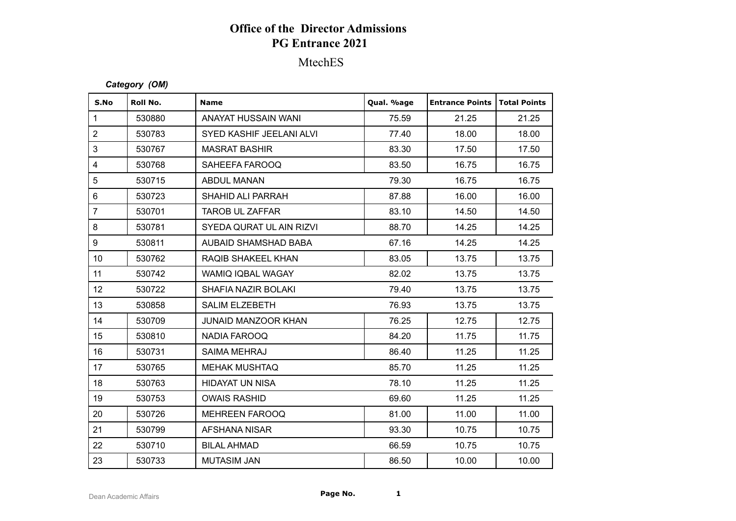# **Office of the Director Admissions PG Entrance 2021**

## MtechES

#### *Category (OM)*

| S.No                    | Roll No. | <b>Name</b>                | Qual. %age | <b>Entrance Points</b> | Total Points |
|-------------------------|----------|----------------------------|------------|------------------------|--------------|
| $\mathbf{1}$            | 530880   | ANAYAT HUSSAIN WANI        | 75.59      | 21.25                  | 21.25        |
| $\overline{2}$          | 530783   | SYED KASHIF JEELANI ALVI   | 77.40      | 18.00                  | 18.00        |
| 3                       | 530767   | <b>MASRAT BASHIR</b>       | 83.30      | 17.50                  | 17.50        |
| $\overline{\mathbf{4}}$ | 530768   | SAHEEFA FAROOQ             | 83.50      | 16.75                  | 16.75        |
| 5                       | 530715   | <b>ABDUL MANAN</b>         | 79.30      | 16.75                  | 16.75        |
| $\,6\,$                 | 530723   | SHAHID ALI PARRAH          | 87.88      | 16.00                  | 16.00        |
| $\overline{7}$          | 530701   | <b>TAROB UL ZAFFAR</b>     | 83.10      | 14.50                  | 14.50        |
| 8                       | 530781   | SYEDA QURAT UL AIN RIZVI   | 88.70      | 14.25                  | 14.25        |
| 9                       | 530811   | AUBAID SHAMSHAD BABA       | 67.16      | 14.25                  | 14.25        |
| 10 <sup>°</sup>         | 530762   | RAQIB SHAKEEL KHAN         | 83.05      | 13.75                  | 13.75        |
| 11                      | 530742   | <b>WAMIQ IQBAL WAGAY</b>   | 82.02      | 13.75                  | 13.75        |
| 12 <sup>°</sup>         | 530722   | SHAFIA NAZIR BOLAKI        | 79.40      | 13.75                  | 13.75        |
| 13                      | 530858   | <b>SALIM ELZEBETH</b>      | 76.93      | 13.75                  | 13.75        |
| 14                      | 530709   | <b>JUNAID MANZOOR KHAN</b> | 76.25      | 12.75                  | 12.75        |
| 15                      | 530810   | NADIA FAROOQ               | 84.20      | 11.75                  | 11.75        |
| 16                      | 530731   | <b>SAIMA MEHRAJ</b>        | 86.40      | 11.25                  | 11.25        |
| 17                      | 530765   | <b>MEHAK MUSHTAQ</b>       | 85.70      | 11.25                  | 11.25        |
| 18                      | 530763   | <b>HIDAYAT UN NISA</b>     | 78.10      | 11.25                  | 11.25        |
| 19                      | 530753   | <b>OWAIS RASHID</b>        | 69.60      | 11.25                  | 11.25        |
| 20                      | 530726   | <b>MEHREEN FAROOQ</b>      | 81.00      | 11.00                  | 11.00        |
| 21                      | 530799   | <b>AFSHANA NISAR</b>       | 93.30      | 10.75                  | 10.75        |
| 22                      | 530710   | <b>BILAL AHMAD</b>         | 66.59      | 10.75                  | 10.75        |
| 23                      | 530733   | <b>MUTASIM JAN</b>         | 86.50      | 10.00                  | 10.00        |